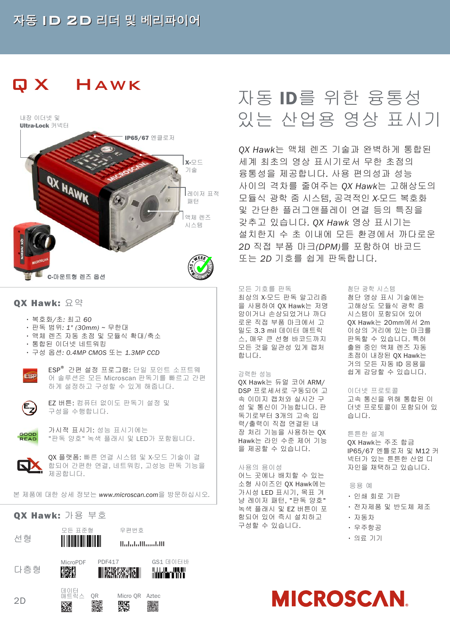## 자동 ID 2D 리더 및 베리파이어

# Q X Hawk



## OX Hawk:  $\Omega$  or

- 복호화*/*초: 최고 60
- 판독 범위: 1" (30mm) ~ 무한대
- 액체 렌즈 자동 초점 및 모듈식 확대/축소
- 통합된 이더넷 네트워킹
- 구성 옵션: 0.4MP CMOS 또는 1.3MP CCD



ESP® 간편 설정 프로그램: 단일 포인트 소프트웨 어 솔루션은 모든 Microscan 판독기를 빠르고 간편 하게 설정하고 구성할 수 있게 해줍니다.



EZ 버튼: 컴퓨터 없이도 판독기 설정 및 구성을 수행합니다.



가시적 표시기: 성능 표시기에는 "판독 양호" 녹색 플래시 및 LED가 포함됩니다.



QX 플랫폼: 빠른 연결 시스템 및 X-모드 기술이 결 합되어 간편한 연결, 네트워킹, 고성능 판독 기능을 제공합니다.

본 제품에 대한 상세 정보는 www.microscan.com을 방문하십시오.

## QX Hawk: 가용 부호



# 자동 ID를 위한 융통성 있는 산업용 영상 표시기

QX Hawk는 액체 렌즈 기술과 완벽하게 통합된 세계 최초의 영상 표시기로서 무한 초점의 융통성을 제공합니다. 사용 편의성과 성능 사이의 격차를 줄여주는 QX Hawk는 고해상도의 모듈식 광학 줌 시스템, 공격적인 X-모드 복호화 및 간단한 플러그앤플레이 연결 등의 특징을 갖추고 있습니다. QX Hawk 영상 표시기는 설치한지 수 초 이내에 모든 환경에서 까다로운 2D 직접 부품 마크(DPM)를 포함하여 바코드 또는 2D 기호를 쉽게 판독합니다.

## 모든 기호를 판독

최상의 X-모드 판독 알고리즘 을 사용하여 QX Hawk는 저명 암이거나 손상되었거나 까다 로운 직접 부품 마크에서 고 밀도 3.3 mil 데이터 매트릭 스, 매우 큰 선형 바코드까지 모든 것을 일관성 있게 캡처 합니다.

## 강력한 성능

QX Hawk는 듀얼 코어 ARM/ DSP 프로세서로 구동되어 고 속 이미지 캡처와 실시간 구 성 및 통신이 가능합니다. 판 독기로부터 3개의 고속 입 력/출력이 직접 연결된 내 장 처리 기능을 사용하는 QX Hawk는 라인 수준 제어 기능 을 제공할 수 있습니다.

## 사용의 용이성

어느 곳에나 배치할 수 있는 소형 사이즈인 QX Hawk에는 가시성 LED 표시기, 목표 겨 냥 레이저 패턴, "판독 양호" 녹색 플래시 및 EZ 버튼이 포 함되어 있어 즉시 설치하고 구성할 수 있습니다.

#### 첨단 광학 시스템

첨단 영상 표시 기술에는 고해상도 모듈식 광학 줌 시스템이 포함되어 있어 QX Hawk는 20mm에서 2m 이상의 거리에 있는 마크를 판독할 수 있습니다. 특허 출원 중인 액체 렌즈 자동 초점이 내장된 QX Hawk는 거의 모든 자동 ID 응용을 쉽게 감당할 수 있습니다.

## 이더넷 프로토콜

고속 통신을 위해 통합된 이 더넷 프로토콜이 포함되어 있 습니다.

## 튼튼한 설계

QX Hawk는 주조 합금 IP65/67 엔틀로저 및 M12 커 넥터가 있는 튼튼한 산업 디 자인을 채택하고 있습니다.

## 응용 예

- 인쇄 회로 기판
- 전자제품 및 반도체 제조
- 자동차
- 우주항공
- 의료 기기

# **MICROSCAN**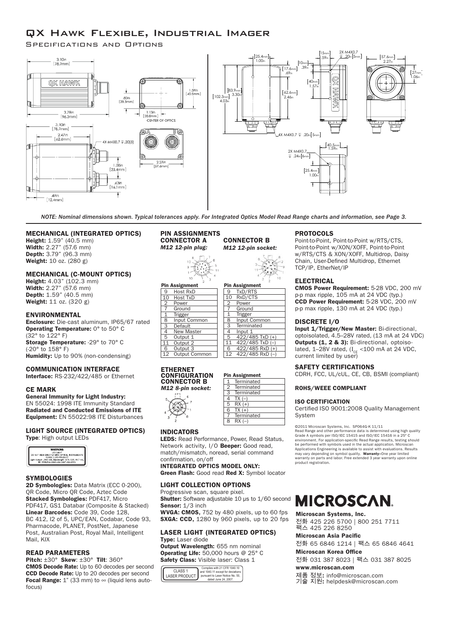## QX Hawk Flexible, Industrial Imager

Specifications and Options



NOTE: Nominal dimensions shown. Typical tolerances apply. For Integrated Optics Model Read Range charts and information, see Page 3.

CONNECTOR B

17.6mm

.39in

## MECHANICAL (INTEGRATED OPTICS)

Height:  $1.59$ " ( $40.5$  mm) Width: 2.27" (57.6 mm) Depth: 3.79" (96.3 mm) Weight: 10 oz. (280 g)

## MECHANICAL (C-MOUNT OPTICS)

Height: 4.03" (102.3 mm) Width: 2.27" (57.6 mm) **Depth:** 1.59" (40.5 mm) Weight: 11 oz. (320 g)

## **ENVIRONMENTAL**

Enclosure: Die-cast aluminum, IP65/67 rated Operating Temperature: 0° to 50° C (32° to 122° F) Storage Temperature: -29° to 70° C (-20° to 158° F) Humidity: Up to 90% (non-condensing)

## COMMUNICATION INTERFACE

Interface: RS-232/422/485 or Ethernet

## CE MARK

General Immunity for Light Industry: EN 55024: 1998 ITE Immunity Standard Radiated and Conducted Emissions of ITE Equipment: EN 55022:98 ITE Disturbances

#### LIGHT SOURCE (INTEGRATED OPTICS) Type: High output LEDs



## **SYMBOLOGIES**

2D Symbologies: Data Matrix (ECC 0-200), QR Code, Micro QR Code, Aztec Code Stacked Symbologies: PDF417, Micro PDF417, GS1 Databar (Composite & Stacked) Linear Barcodes: Code 39, Code 128, BC 412, I2 of 5, UPC/EAN, Codabar, Code 93, Pharmacode, PLANET, PostNet, Japanese Post, Australian Post, Royal Mail, Intelligent Mail, KIX

## READ PARAMETERS

Pitch: ±30° Skew: ±30° Tilt: 360° CMOS Decode Rate: Up to 60 decodes per second CCD Decode Rate: Up to 20 decodes per second Focal Range:  $1"$  (33 mm) to  $\infty$  (liquid lens autofocus)

## PIN ASSIGNMENTS CONNECTOR A

*M12 12-pin plug:* M *M12 12-pin socket:* 83.9mm 62.6mm  $7<sub>1</sub>$  $12$  $\sim$ 捻 才  $00$  $\frac{3}{1}$  $\overline{11}$  $10$ Pin Assignment 9 TxD/RTS 10 RxD/CTS Power Power Ground **Ground** 1 Trigger<br>8 Input Input Common **Terminated Default** 

#### Pin Assignment 9 Host RxD 10 Host TxD 1 Trigger 8 Input Common 4 New Master 5 Output 1<br>11 Output 2 Output 2 6 Output 3 12 Output Common 4 Input 1 5 422/485 TxD (+) 11 422/485 TxD (–)  $\frac{122}{422}{185 RxD (+)}$ 12 422/485 RxD (-)

#### ETHERNET CONFIGURATION CONNECTOR B *M12 8-pin socket:*

| וטטר וווקיט בבוו |
|------------------|
|                  |
|                  |
|                  |
|                  |
|                  |
|                  |
|                  |
|                  |
|                  |
|                  |

|                | Terminated |
|----------------|------------|
| $\overline{2}$ | Terminated |
| 3              | Terminated |
| 4              | $TX(-)$    |
| 5              | $RX (+)$   |
| 6              | $TX (+)$   |
|                | Terminated |
| 8              | $RX(-)$    |
|                |            |

Pin Assignment

## INDICATORS

LEDS: Read Performance, Power, Read Status, Network activity, I/O Beeper: Good read, match/mismatch, noread, serial command confirmation, on/off INTEGRATED OPTICS MODEL ONLY:

Green Flash: Good read Red X: Symbol locator

## LIGHT COLLECTION OPTIONS

Progressive scan, square pixel. Shutter: Software adjustable 10 us to 1/60 second Sensor: 1/3 inch

WVGA: CMOS, 752 by 480 pixels, up to 60 fps **SXGA: CCD,** 1280 by 960 pixels, up to 20 fps

## LASER LIGHT (INTEGRATED OPTICS) Type: Laser diode

Output Wavelength: 655 nm nominal Operating Life: 50,000 hours @ 25° C Safety Class: Visible laser: Class 1

| CLASS <sub>1</sub><br><b>LASER PRODUCT</b> | Complies with 21 CFR 1040.10<br>and 1040.11 except for deviations<br>pursuant to Laser Notice No. 50.<br>dated June 24, 2007 |
|--------------------------------------------|------------------------------------------------------------------------------------------------------------------------------|
|--------------------------------------------|------------------------------------------------------------------------------------------------------------------------------|

## PROTOCOLS

Point-to-Point, Point-to-Point w/RTS/CTS, Point-to-Point w/XON/XOFF, Point-to-Point w/RTS/CTS & XON/XOFF, Multidrop, Daisy Chain, User-Defined Multidrop, Ethernet TCP/IP, EtherNet/IP

## ELECTRICAL

CMOS Power Requirement: 5-28 VDC, 200 mV  $\rightharpoonup$  only to the negative metric  $3-20$  vbc,  $2\degree$  p-p max ripple,  $105$  mA at 24 VDC (typ.) CCD Power Requirement: 5-28 VDC, 200 mV p-p max ripple, 130 mA at 24 VDC (typ.)

## DISCRETE I/O

Input 1/Trigger/New Master: Bi-directional, optoisolated, 4.5–28V rated, (13 mA at 24 VDC) Outputs (1, 2 & 3): Bi-directional, optoisolated, 1–28V rated, ( $I_{\text{CE}}$  <100 mA at 24 VDC, current limited by user)

## SAFETY CERTIFICATIONS

CDRH, FCC, UL/cUL, CE, CB, BSMI (compliant)

#### ROHS/WEEE COMPLIANT

## ISO CERTIFICATION

Certified ISO 9001:2008 Quality Management System

©2011 Microscan Systems, Inc. SP064G-K 11/11

Read Range and other performance data is determined using high quality Grade A symbols per ISO/IEC 15415 and ISO/IEC 15416 in a 25° C environment. For application-specific Read Range results, testing should<br>be performed with symbols used in the actual application. Microscan<br>Applications Engineering is available to assist with evaluations. Results<br>may var product registration.

# **MICROSCAN**

Microscan Systems, Inc. 전화 425 226 5700 | 800 251 7711 팩스 425 226 8250

## Microscan Asia Pacific

전화 65 6846 1214 | 팩스 65 6846 4641

Microscan Korea Office 전화 031 387 8023 | 팩스 031 387 8025

www.microscan.com

## 제품 정보: info@microscan.com

기술 지원: helpdesk@microscan.com